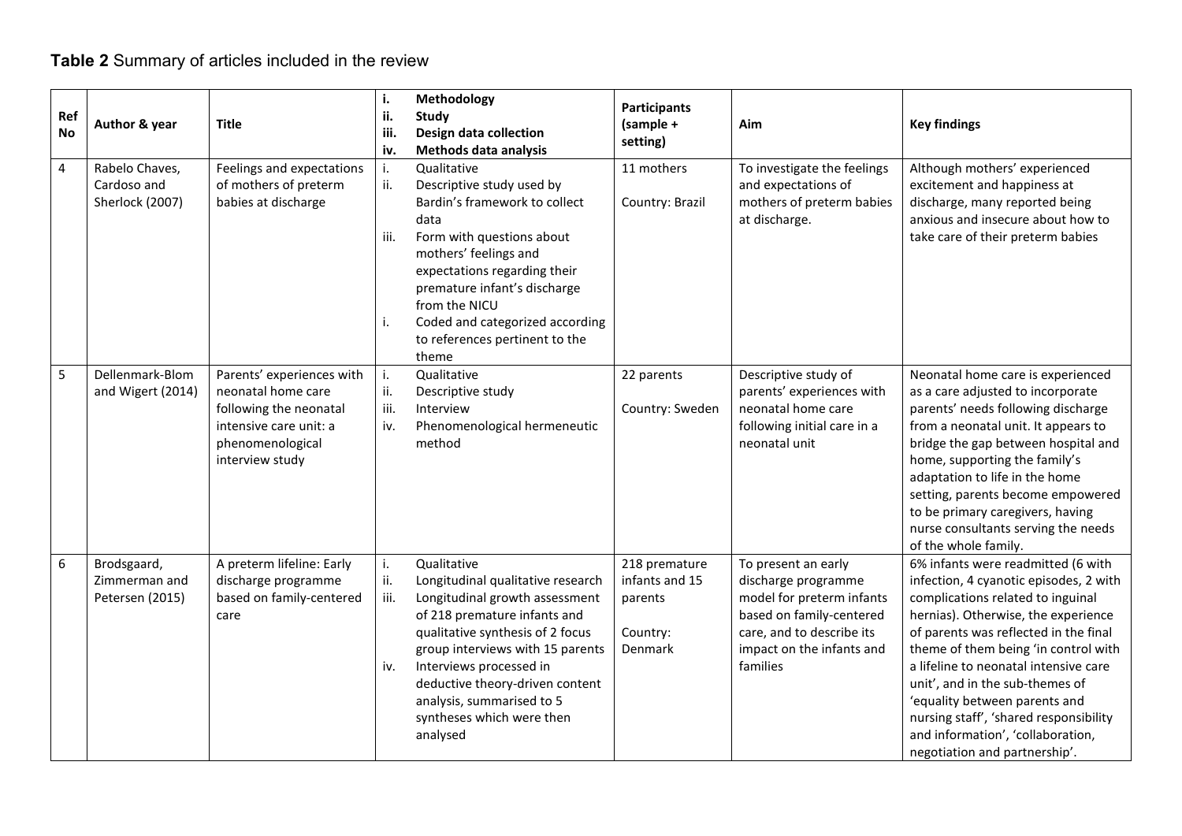## **Table 2** Summary of articles included in the review

| Ref<br><b>No</b> | Author & year                                    | <b>Title</b>                                                                                                                               | i.<br>ii.<br>iii.<br>iv. | Methodology<br>Study<br>Design data collection<br>Methods data analysis                                                                                                                                                                                                                                                        | <b>Participants</b><br>$(sample +$<br>setting)                    | Aim                                                                                                                                                                       | <b>Key findings</b>                                                                                                                                                                                                                                                                                                                                                                                                                                                    |
|------------------|--------------------------------------------------|--------------------------------------------------------------------------------------------------------------------------------------------|--------------------------|--------------------------------------------------------------------------------------------------------------------------------------------------------------------------------------------------------------------------------------------------------------------------------------------------------------------------------|-------------------------------------------------------------------|---------------------------------------------------------------------------------------------------------------------------------------------------------------------------|------------------------------------------------------------------------------------------------------------------------------------------------------------------------------------------------------------------------------------------------------------------------------------------------------------------------------------------------------------------------------------------------------------------------------------------------------------------------|
| $\overline{4}$   | Rabelo Chaves,<br>Cardoso and<br>Sherlock (2007) | Feelings and expectations<br>of mothers of preterm<br>babies at discharge                                                                  | i.<br>ii.<br>iii.<br>i.  | Qualitative<br>Descriptive study used by<br>Bardin's framework to collect<br>data<br>Form with questions about<br>mothers' feelings and<br>expectations regarding their<br>premature infant's discharge<br>from the NICU<br>Coded and categorized according<br>to references pertinent to the<br>theme                         | 11 mothers<br>Country: Brazil                                     | To investigate the feelings<br>and expectations of<br>mothers of preterm babies<br>at discharge.                                                                          | Although mothers' experienced<br>excitement and happiness at<br>discharge, many reported being<br>anxious and insecure about how to<br>take care of their preterm babies                                                                                                                                                                                                                                                                                               |
| 5                | Dellenmark-Blom<br>and Wigert (2014)             | Parents' experiences with<br>neonatal home care<br>following the neonatal<br>intensive care unit: a<br>phenomenological<br>interview study | i.<br>ii.<br>iii.<br>iv. | Qualitative<br>Descriptive study<br>Interview<br>Phenomenological hermeneutic<br>method                                                                                                                                                                                                                                        | 22 parents<br>Country: Sweden                                     | Descriptive study of<br>parents' experiences with<br>neonatal home care<br>following initial care in a<br>neonatal unit                                                   | Neonatal home care is experienced<br>as a care adjusted to incorporate<br>parents' needs following discharge<br>from a neonatal unit. It appears to<br>bridge the gap between hospital and<br>home, supporting the family's<br>adaptation to life in the home<br>setting, parents become empowered<br>to be primary caregivers, having<br>nurse consultants serving the needs<br>of the whole family.                                                                  |
| $\boldsymbol{6}$ | Brodsgaard,<br>Zimmerman and<br>Petersen (2015)  | A preterm lifeline: Early<br>discharge programme<br>based on family-centered<br>care                                                       | i.<br>ii.<br>iii.<br>iv. | Qualitative<br>Longitudinal qualitative research<br>Longitudinal growth assessment<br>of 218 premature infants and<br>qualitative synthesis of 2 focus<br>group interviews with 15 parents<br>Interviews processed in<br>deductive theory-driven content<br>analysis, summarised to 5<br>syntheses which were then<br>analysed | 218 premature<br>infants and 15<br>parents<br>Country:<br>Denmark | To present an early<br>discharge programme<br>model for preterm infants<br>based on family-centered<br>care, and to describe its<br>impact on the infants and<br>families | 6% infants were readmitted (6 with<br>infection, 4 cyanotic episodes, 2 with<br>complications related to inguinal<br>hernias). Otherwise, the experience<br>of parents was reflected in the final<br>theme of them being 'in control with<br>a lifeline to neonatal intensive care<br>unit', and in the sub-themes of<br>'equality between parents and<br>nursing staff', 'shared responsibility<br>and information', 'collaboration,<br>negotiation and partnership'. |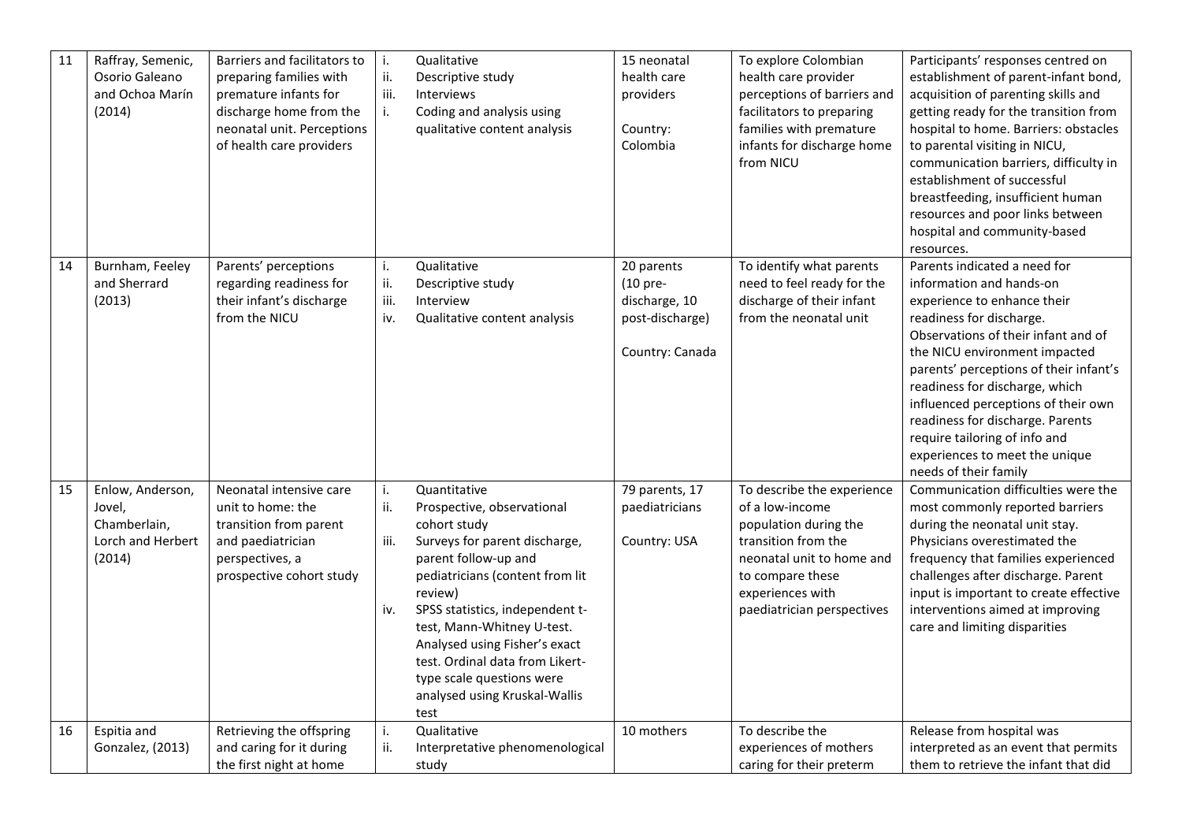| 11 | Raffray, Semenic,<br>Osorio Galeano<br>and Ochoa Marín<br>(2014)          | Barriers and facilitators to<br>preparing families with<br>premature infants for<br>discharge home from the<br>neonatal unit. Perceptions<br>of health care providers | i.<br>ii.<br>iii.<br>i.  | Qualitative<br>Descriptive study<br>Interviews<br>Coding and analysis using<br>qualitative content analysis                                                                                                                                                                                                                                                                  | 15 neonatal<br>health care<br>providers<br>Country:<br>Colombia               | To explore Colombian<br>health care provider<br>perceptions of barriers and<br>facilitators to preparing<br>families with premature<br>infants for discharge home<br>from NICU                   | Participants' responses centred on<br>establishment of parent-infant bond,<br>acquisition of parenting skills and<br>getting ready for the transition from<br>hospital to home. Barriers: obstacles<br>to parental visiting in NICU,<br>communication barriers, difficulty in<br>establishment of successful                                                                                                                                   |
|----|---------------------------------------------------------------------------|-----------------------------------------------------------------------------------------------------------------------------------------------------------------------|--------------------------|------------------------------------------------------------------------------------------------------------------------------------------------------------------------------------------------------------------------------------------------------------------------------------------------------------------------------------------------------------------------------|-------------------------------------------------------------------------------|--------------------------------------------------------------------------------------------------------------------------------------------------------------------------------------------------|------------------------------------------------------------------------------------------------------------------------------------------------------------------------------------------------------------------------------------------------------------------------------------------------------------------------------------------------------------------------------------------------------------------------------------------------|
|    |                                                                           |                                                                                                                                                                       |                          |                                                                                                                                                                                                                                                                                                                                                                              |                                                                               |                                                                                                                                                                                                  | breastfeeding, insufficient human<br>resources and poor links between<br>hospital and community-based<br>resources.                                                                                                                                                                                                                                                                                                                            |
| 14 | Burnham, Feeley<br>and Sherrard<br>(2013)                                 | Parents' perceptions<br>regarding readiness for<br>their infant's discharge<br>from the NICU                                                                          | i.<br>ii.<br>iii.<br>iv. | Qualitative<br>Descriptive study<br>Interview<br>Qualitative content analysis                                                                                                                                                                                                                                                                                                | 20 parents<br>(10 pre-<br>discharge, 10<br>post-discharge)<br>Country: Canada | To identify what parents<br>need to feel ready for the<br>discharge of their infant<br>from the neonatal unit                                                                                    | Parents indicated a need for<br>information and hands-on<br>experience to enhance their<br>readiness for discharge.<br>Observations of their infant and of<br>the NICU environment impacted<br>parents' perceptions of their infant's<br>readiness for discharge, which<br>influenced perceptions of their own<br>readiness for discharge. Parents<br>require tailoring of info and<br>experiences to meet the unique<br>needs of their family |
| 15 | Enlow, Anderson,<br>Jovel,<br>Chamberlain,<br>Lorch and Herbert<br>(2014) | Neonatal intensive care<br>unit to home: the<br>transition from parent<br>and paediatrician<br>perspectives, a<br>prospective cohort study                            | i.<br>ii.<br>iii.<br>iv. | Quantitative<br>Prospective, observational<br>cohort study<br>Surveys for parent discharge,<br>parent follow-up and<br>pediatricians (content from lit<br>review)<br>SPSS statistics, independent t-<br>test, Mann-Whitney U-test.<br>Analysed using Fisher's exact<br>test. Ordinal data from Likert-<br>type scale questions were<br>analysed using Kruskal-Wallis<br>test | 79 parents, 17<br>paediatricians<br>Country: USA                              | To describe the experience<br>of a low-income<br>population during the<br>transition from the<br>neonatal unit to home and<br>to compare these<br>experiences with<br>paediatrician perspectives | Communication difficulties were the<br>most commonly reported barriers<br>during the neonatal unit stay.<br>Physicians overestimated the<br>frequency that families experienced<br>challenges after discharge. Parent<br>input is important to create effective<br>interventions aimed at improving<br>care and limiting disparities                                                                                                           |
| 16 | Espitia and<br>Gonzalez, (2013)                                           | Retrieving the offspring<br>and caring for it during<br>the first night at home                                                                                       | i.<br>ii.                | Qualitative<br>Interpretative phenomenological<br>study                                                                                                                                                                                                                                                                                                                      | 10 mothers                                                                    | To describe the<br>experiences of mothers<br>caring for their preterm                                                                                                                            | Release from hospital was<br>interpreted as an event that permits<br>them to retrieve the infant that did                                                                                                                                                                                                                                                                                                                                      |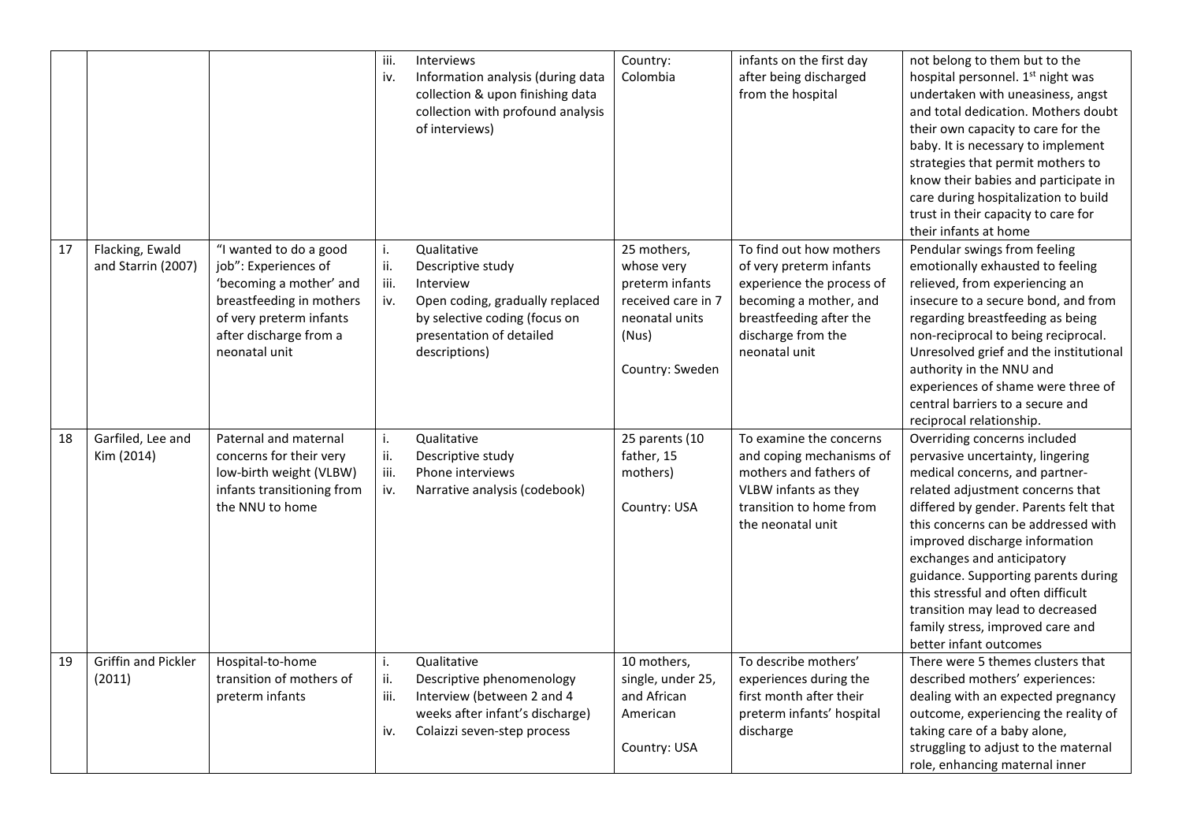|    |                                       |                                                                                                                                                                             | iii.<br>iv.              | Interviews<br>Information analysis (during data<br>collection & upon finishing data<br>collection with profound analysis<br>of interviews)                     | Country:<br>Colombia                                                                                             | infants on the first day<br>after being discharged<br>from the hospital                                                                                                     | not belong to them but to the<br>hospital personnel. 1 <sup>st</sup> night was<br>undertaken with uneasiness, angst<br>and total dedication. Mothers doubt<br>their own capacity to care for the<br>baby. It is necessary to implement<br>strategies that permit mothers to<br>know their babies and participate in<br>care during hospitalization to build<br>trust in their capacity to care for<br>their infants at home                                           |
|----|---------------------------------------|-----------------------------------------------------------------------------------------------------------------------------------------------------------------------------|--------------------------|----------------------------------------------------------------------------------------------------------------------------------------------------------------|------------------------------------------------------------------------------------------------------------------|-----------------------------------------------------------------------------------------------------------------------------------------------------------------------------|-----------------------------------------------------------------------------------------------------------------------------------------------------------------------------------------------------------------------------------------------------------------------------------------------------------------------------------------------------------------------------------------------------------------------------------------------------------------------|
| 17 | Flacking, Ewald<br>and Starrin (2007) | "I wanted to do a good<br>job": Experiences of<br>'becoming a mother' and<br>breastfeeding in mothers<br>of very preterm infants<br>after discharge from a<br>neonatal unit | i.<br>ii.<br>iii.<br>iv. | Qualitative<br>Descriptive study<br>Interview<br>Open coding, gradually replaced<br>by selective coding (focus on<br>presentation of detailed<br>descriptions) | 25 mothers,<br>whose very<br>preterm infants<br>received care in 7<br>neonatal units<br>(Nus)<br>Country: Sweden | To find out how mothers<br>of very preterm infants<br>experience the process of<br>becoming a mother, and<br>breastfeeding after the<br>discharge from the<br>neonatal unit | Pendular swings from feeling<br>emotionally exhausted to feeling<br>relieved, from experiencing an<br>insecure to a secure bond, and from<br>regarding breastfeeding as being<br>non-reciprocal to being reciprocal.<br>Unresolved grief and the institutional<br>authority in the NNU and<br>experiences of shame were three of<br>central barriers to a secure and<br>reciprocal relationship.                                                                      |
| 18 | Garfiled, Lee and<br>Kim (2014)       | Paternal and maternal<br>concerns for their very<br>low-birth weight (VLBW)<br>infants transitioning from<br>the NNU to home                                                | i.<br>ii.<br>iii.<br>iv. | Qualitative<br>Descriptive study<br>Phone interviews<br>Narrative analysis (codebook)                                                                          | 25 parents (10<br>father, 15<br>mothers)<br>Country: USA                                                         | To examine the concerns<br>and coping mechanisms of<br>mothers and fathers of<br>VLBW infants as they<br>transition to home from<br>the neonatal unit                       | Overriding concerns included<br>pervasive uncertainty, lingering<br>medical concerns, and partner-<br>related adjustment concerns that<br>differed by gender. Parents felt that<br>this concerns can be addressed with<br>improved discharge information<br>exchanges and anticipatory<br>guidance. Supporting parents during<br>this stressful and often difficult<br>transition may lead to decreased<br>family stress, improved care and<br>better infant outcomes |
| 19 | <b>Griffin and Pickler</b><br>(2011)  | Hospital-to-home<br>transition of mothers of<br>preterm infants                                                                                                             | i.<br>ii.<br>iii.<br>iv. | Qualitative<br>Descriptive phenomenology<br>Interview (between 2 and 4<br>weeks after infant's discharge)<br>Colaizzi seven-step process                       | 10 mothers,<br>single, under 25,<br>and African<br>American<br>Country: USA                                      | To describe mothers'<br>experiences during the<br>first month after their<br>preterm infants' hospital<br>discharge                                                         | There were 5 themes clusters that<br>described mothers' experiences:<br>dealing with an expected pregnancy<br>outcome, experiencing the reality of<br>taking care of a baby alone,<br>struggling to adjust to the maternal<br>role, enhancing maternal inner                                                                                                                                                                                                          |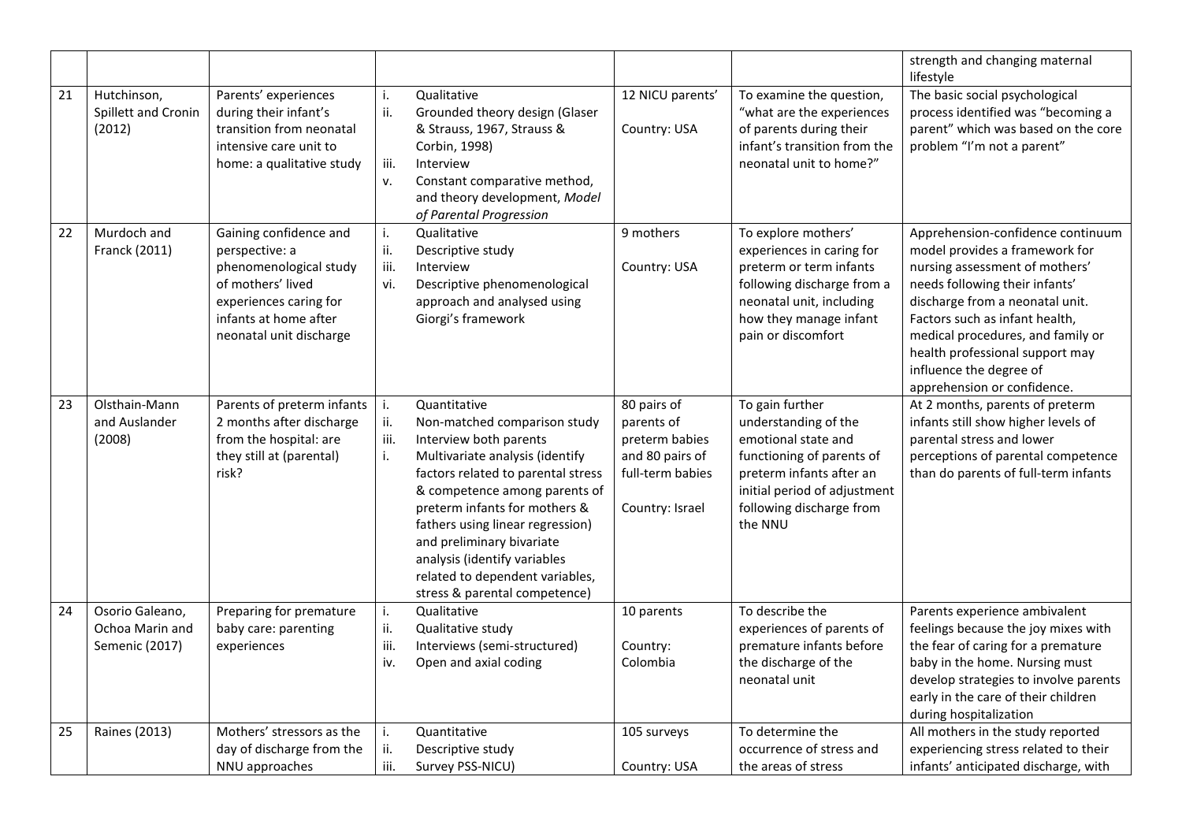|    |                                                      |                                                                                                                                                                       |                          |                                                                                                                                                                                                                                                                                                                                                                                        |                                                                                                       |                                                                                                                                                                                                | strength and changing maternal<br>lifestyle                                                                                                                                                                                                                                                                                                    |
|----|------------------------------------------------------|-----------------------------------------------------------------------------------------------------------------------------------------------------------------------|--------------------------|----------------------------------------------------------------------------------------------------------------------------------------------------------------------------------------------------------------------------------------------------------------------------------------------------------------------------------------------------------------------------------------|-------------------------------------------------------------------------------------------------------|------------------------------------------------------------------------------------------------------------------------------------------------------------------------------------------------|------------------------------------------------------------------------------------------------------------------------------------------------------------------------------------------------------------------------------------------------------------------------------------------------------------------------------------------------|
| 21 | Hutchinson,<br>Spillett and Cronin<br>(2012)         | Parents' experiences<br>during their infant's<br>transition from neonatal<br>intensive care unit to<br>home: a qualitative study                                      | i.<br>ii.<br>iii.<br>v.  | Qualitative<br>Grounded theory design (Glaser<br>& Strauss, 1967, Strauss &<br>Corbin, 1998)<br>Interview<br>Constant comparative method,<br>and theory development, Model<br>of Parental Progression                                                                                                                                                                                  | 12 NICU parents'<br>Country: USA                                                                      | To examine the question,<br>"what are the experiences<br>of parents during their<br>infant's transition from the<br>neonatal unit to home?"                                                    | The basic social psychological<br>process identified was "becoming a<br>parent" which was based on the core<br>problem "I'm not a parent"                                                                                                                                                                                                      |
| 22 | Murdoch and<br>Franck (2011)                         | Gaining confidence and<br>perspective: a<br>phenomenological study<br>of mothers' lived<br>experiences caring for<br>infants at home after<br>neonatal unit discharge | i.<br>ii.<br>iii.<br>vi. | Qualitative<br>Descriptive study<br>Interview<br>Descriptive phenomenological<br>approach and analysed using<br>Giorgi's framework                                                                                                                                                                                                                                                     | 9 mothers<br>Country: USA                                                                             | To explore mothers'<br>experiences in caring for<br>preterm or term infants<br>following discharge from a<br>neonatal unit, including<br>how they manage infant<br>pain or discomfort          | Apprehension-confidence continuum<br>model provides a framework for<br>nursing assessment of mothers'<br>needs following their infants'<br>discharge from a neonatal unit.<br>Factors such as infant health,<br>medical procedures, and family or<br>health professional support may<br>influence the degree of<br>apprehension or confidence. |
| 23 | Olsthain-Mann<br>and Auslander<br>(2008)             | Parents of preterm infants<br>2 months after discharge<br>from the hospital: are<br>they still at (parental)<br>risk?                                                 | i.<br>ii.<br>iii.<br>i.  | Quantitative<br>Non-matched comparison study<br>Interview both parents<br>Multivariate analysis (identify<br>factors related to parental stress<br>& competence among parents of<br>preterm infants for mothers &<br>fathers using linear regression)<br>and preliminary bivariate<br>analysis (identify variables<br>related to dependent variables,<br>stress & parental competence) | 80 pairs of<br>parents of<br>preterm babies<br>and 80 pairs of<br>full-term babies<br>Country: Israel | To gain further<br>understanding of the<br>emotional state and<br>functioning of parents of<br>preterm infants after an<br>initial period of adjustment<br>following discharge from<br>the NNU | At 2 months, parents of preterm<br>infants still show higher levels of<br>parental stress and lower<br>perceptions of parental competence<br>than do parents of full-term infants                                                                                                                                                              |
| 24 | Osorio Galeano,<br>Ochoa Marin and<br>Semenic (2017) | Preparing for premature<br>baby care: parenting<br>experiences                                                                                                        | i.<br>ii.<br>iii.<br>iv. | Qualitative<br>Qualitative study<br>Interviews (semi-structured)<br>Open and axial coding                                                                                                                                                                                                                                                                                              | 10 parents<br>Country:<br>Colombia                                                                    | To describe the<br>experiences of parents of<br>premature infants before<br>the discharge of the<br>neonatal unit                                                                              | Parents experience ambivalent<br>feelings because the joy mixes with<br>the fear of caring for a premature<br>baby in the home. Nursing must<br>develop strategies to involve parents<br>early in the care of their children<br>during hospitalization                                                                                         |
| 25 | Raines (2013)                                        | Mothers' stressors as the<br>day of discharge from the<br>NNU approaches                                                                                              | i.<br>ii.<br>iii.        | Quantitative<br>Descriptive study<br>Survey PSS-NICU)                                                                                                                                                                                                                                                                                                                                  | 105 surveys<br>Country: USA                                                                           | To determine the<br>occurrence of stress and<br>the areas of stress                                                                                                                            | All mothers in the study reported<br>experiencing stress related to their<br>infants' anticipated discharge, with                                                                                                                                                                                                                              |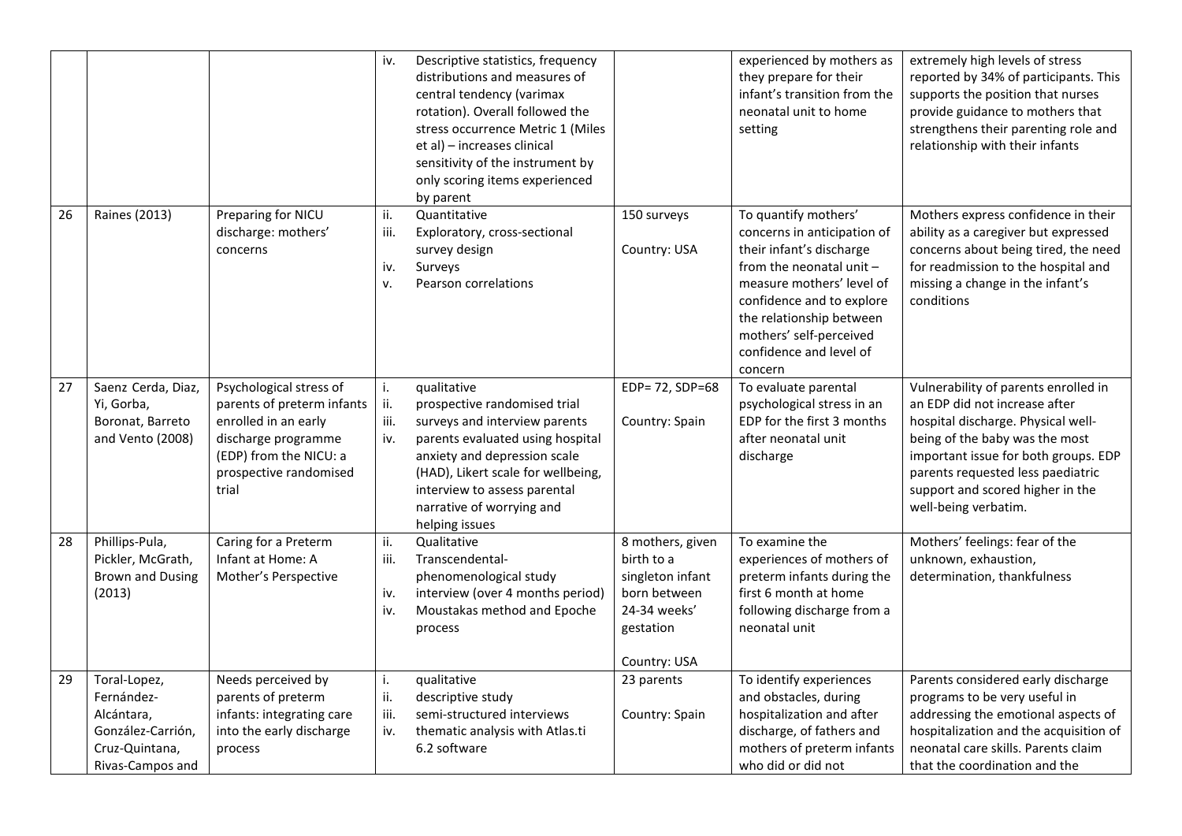|    |                                                                                                     |                                                                                                                                                                   | iv.                       | Descriptive statistics, frequency<br>distributions and measures of<br>central tendency (varimax<br>rotation). Overall followed the<br>stress occurrence Metric 1 (Miles<br>et al) - increases clinical<br>sensitivity of the instrument by<br>only scoring items experienced<br>by parent |                                                                                                                 | experienced by mothers as<br>they prepare for their<br>infant's transition from the<br>neonatal unit to home<br>setting                                                                                                                                            | extremely high levels of stress<br>reported by 34% of participants. This<br>supports the position that nurses<br>provide guidance to mothers that<br>strengthens their parenting role and<br>relationship with their infants                                                           |
|----|-----------------------------------------------------------------------------------------------------|-------------------------------------------------------------------------------------------------------------------------------------------------------------------|---------------------------|-------------------------------------------------------------------------------------------------------------------------------------------------------------------------------------------------------------------------------------------------------------------------------------------|-----------------------------------------------------------------------------------------------------------------|--------------------------------------------------------------------------------------------------------------------------------------------------------------------------------------------------------------------------------------------------------------------|----------------------------------------------------------------------------------------------------------------------------------------------------------------------------------------------------------------------------------------------------------------------------------------|
| 26 | <b>Raines (2013)</b>                                                                                | Preparing for NICU<br>discharge: mothers'<br>concerns                                                                                                             | ii.<br>iii.<br>iv.<br>v.  | Quantitative<br>Exploratory, cross-sectional<br>survey design<br>Surveys<br>Pearson correlations                                                                                                                                                                                          | 150 surveys<br>Country: USA                                                                                     | To quantify mothers'<br>concerns in anticipation of<br>their infant's discharge<br>from the neonatal unit -<br>measure mothers' level of<br>confidence and to explore<br>the relationship between<br>mothers' self-perceived<br>confidence and level of<br>concern | Mothers express confidence in their<br>ability as a caregiver but expressed<br>concerns about being tired, the need<br>for readmission to the hospital and<br>missing a change in the infant's<br>conditions                                                                           |
| 27 | Saenz Cerda, Diaz,<br>Yi, Gorba,<br>Boronat, Barreto<br>and Vento (2008)                            | Psychological stress of<br>parents of preterm infants<br>enrolled in an early<br>discharge programme<br>(EDP) from the NICU: a<br>prospective randomised<br>trial | i.<br>ii.<br>iii.<br>iv.  | qualitative<br>prospective randomised trial<br>surveys and interview parents<br>parents evaluated using hospital<br>anxiety and depression scale<br>(HAD), Likert scale for wellbeing,<br>interview to assess parental<br>narrative of worrying and<br>helping issues                     | EDP= 72, SDP=68<br>Country: Spain                                                                               | To evaluate parental<br>psychological stress in an<br>EDP for the first 3 months<br>after neonatal unit<br>discharge                                                                                                                                               | Vulnerability of parents enrolled in<br>an EDP did not increase after<br>hospital discharge. Physical well-<br>being of the baby was the most<br>important issue for both groups. EDP<br>parents requested less paediatric<br>support and scored higher in the<br>well-being verbatim. |
| 28 | Phillips-Pula,<br>Pickler, McGrath,<br><b>Brown and Dusing</b><br>(2013)                            | Caring for a Preterm<br>Infant at Home: A<br>Mother's Perspective                                                                                                 | ii.<br>iii.<br>iv.<br>iv. | Qualitative<br>Transcendental-<br>phenomenological study<br>interview (over 4 months period)<br>Moustakas method and Epoche<br>process                                                                                                                                                    | 8 mothers, given<br>birth to a<br>singleton infant<br>born between<br>24-34 weeks'<br>gestation<br>Country: USA | To examine the<br>experiences of mothers of<br>preterm infants during the<br>first 6 month at home<br>following discharge from a<br>neonatal unit                                                                                                                  | Mothers' feelings: fear of the<br>unknown, exhaustion,<br>determination, thankfulness                                                                                                                                                                                                  |
| 29 | Toral-Lopez,<br>Fernández-<br>Alcántara,<br>González-Carrión,<br>Cruz-Quintana,<br>Rivas-Campos and | Needs perceived by<br>parents of preterm<br>infants: integrating care<br>into the early discharge<br>process                                                      | i.<br>ii.<br>iii.<br>iv.  | qualitative<br>descriptive study<br>semi-structured interviews<br>thematic analysis with Atlas.ti<br>6.2 software                                                                                                                                                                         | 23 parents<br>Country: Spain                                                                                    | To identify experiences<br>and obstacles, during<br>hospitalization and after<br>discharge, of fathers and<br>mothers of preterm infants<br>who did or did not                                                                                                     | Parents considered early discharge<br>programs to be very useful in<br>addressing the emotional aspects of<br>hospitalization and the acquisition of<br>neonatal care skills. Parents claim<br>that the coordination and the                                                           |